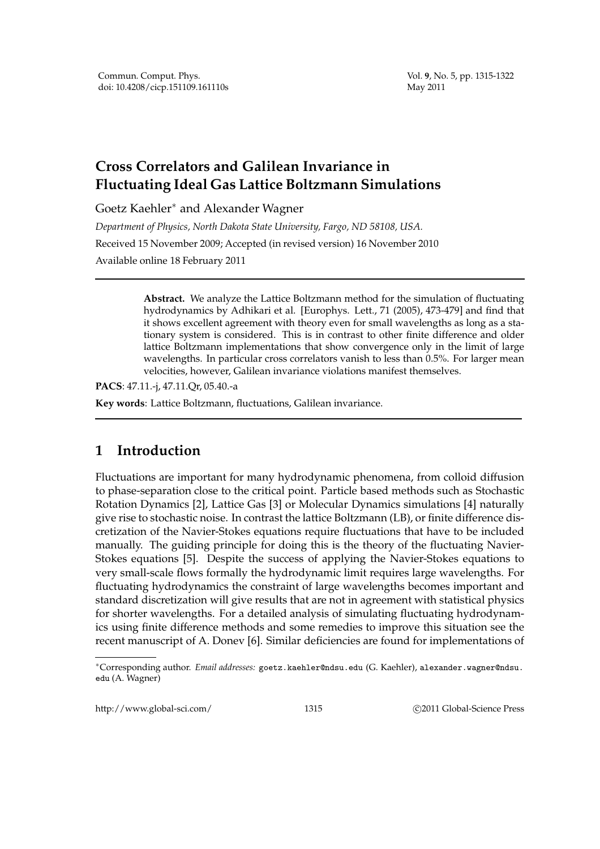Vol. **9**, No. 5, pp. 1315-1322 May 2011

# **Cross Correlators and Galilean Invariance in Fluctuating Ideal Gas Lattice Boltzmann Simulations**

Goetz Kaehler∗ and Alexander Wagner

*Department of Physics, North Dakota State University, Fargo, ND 58108, USA.* Received 15 November 2009; Accepted (in revised version) 16 November 2010 Available online 18 February 2011

> **Abstract.** We analyze the Lattice Boltzmann method for the simulation of fluctuating hydrodynamics by Adhikari et al. [Europhys. Lett., 71 (2005), 473-479] and find that it shows excellent agreement with theory even for small wavelengths as long as a stationary system is considered. This is in contrast to other finite difference and older lattice Boltzmann implementations that show convergence only in the limit of large wavelengths. In particular cross correlators vanish to less than 0.5%. For larger mean velocities, however, Galilean invariance violations manifest themselves.

**PACS**: 47.11.-j, 47.11.Qr, 05.40.-a

**Key words**: Lattice Boltzmann, fluctuations, Galilean invariance.

# **1 Introduction**

Fluctuations are important for many hydrodynamic phenomena, from colloid diffusion to phase-separation close to the critical point. Particle based methods such as Stochastic Rotation Dynamics [2], Lattice Gas [3] or Molecular Dynamics simulations [4] naturally give rise to stochastic noise. In contrast the lattice Boltzmann (LB), or finite difference discretization of the Navier-Stokes equations require fluctuations that have to be included manually. The guiding principle for doing this is the theory of the fluctuating Navier-Stokes equations [5]. Despite the success of applying the Navier-Stokes equations to very small-scale flows formally the hydrodynamic limit requires large wavelengths. For fluctuating hydrodynamics the constraint of large wavelengths becomes important and standard discretization will give results that are not in agreement with statistical physics for shorter wavelengths. For a detailed analysis of simulating fluctuating hydrodynamics using finite difference methods and some remedies to improve this situation see the recent manuscript of A. Donev [6]. Similar deficiencies are found for implementations of

http://www.global-sci.com/ 1315 C2011 Global-Science Press

<sup>∗</sup>Corresponding author. *Email addresses:* goetz.kaehler@ndsu.edu (G. Kaehler), alexander.wagner@ndsu. edu (A. Wagner)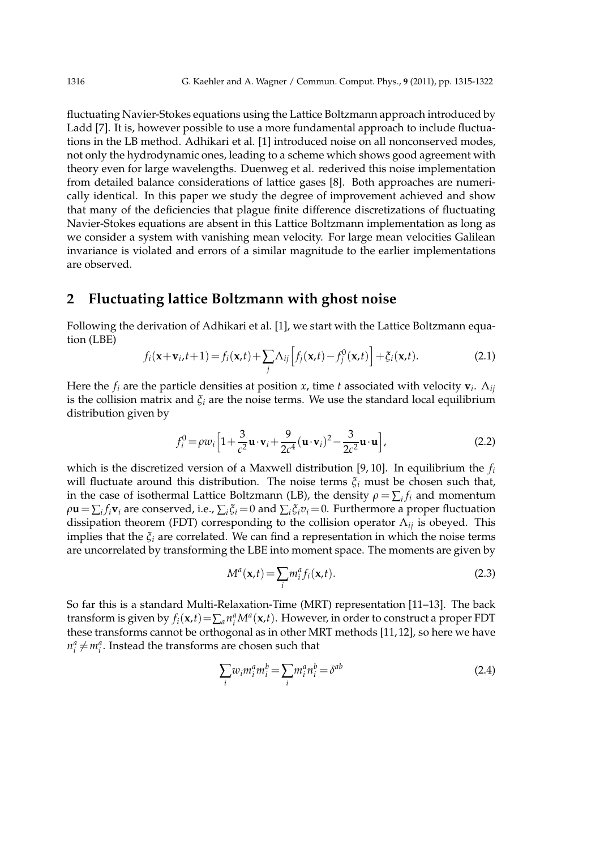fluctuating Navier-Stokes equations using the Lattice Boltzmann approach introduced by Ladd [7]. It is, however possible to use a more fundamental approach to include fluctuations in the LB method. Adhikari et al. [1] introduced noise on all nonconserved modes, not only the hydrodynamic ones, leading to a scheme which shows good agreement with theory even for large wavelengths. Duenweg et al. rederived this noise implementation from detailed balance considerations of lattice gases [8]. Both approaches are numerically identical. In this paper we study the degree of improvement achieved and show that many of the deficiencies that plague finite difference discretizations of fluctuating Navier-Stokes equations are absent in this Lattice Boltzmann implementation as long as we consider a system with vanishing mean velocity. For large mean velocities Galilean invariance is violated and errors of a similar magnitude to the earlier implementations are observed.

### **2 Fluctuating lattice Boltzmann with ghost noise**

Following the derivation of Adhikari et al. [1], we start with the Lattice Boltzmann equation (LBE)

$$
f_i(\mathbf{x}+\mathbf{v}_i,t+1) = f_i(\mathbf{x},t) + \sum_j \Lambda_{ij} \left[ f_j(\mathbf{x},t) - f_j^0(\mathbf{x},t) \right] + \xi_i(\mathbf{x},t). \tag{2.1}
$$

Here the *f<sup>i</sup>* are the particle densities at position *x*, time *t* associated with velocity **v***<sup>i</sup>* . Λ*ij* is the collision matrix and *ξ<sup>i</sup>* are the noise terms. We use the standard local equilibrium distribution given by

$$
f_i^0 = \rho w_i \left[ 1 + \frac{3}{c^2} \mathbf{u} \cdot \mathbf{v}_i + \frac{9}{2c^4} (\mathbf{u} \cdot \mathbf{v}_i)^2 - \frac{3}{2c^2} \mathbf{u} \cdot \mathbf{u} \right],
$$
 (2.2)

which is the discretized version of a Maxwell distribution [9, 10]. In equilibrium the *f<sup>i</sup>* will fluctuate around this distribution. The noise terms *ξ<sup>i</sup>* must be chosen such that, in the case of isothermal Lattice Boltzmann (LB), the density  $\rho = \sum_i f_i$  and momentum  $\rho$ **u** =  $\sum_i f_i$ **v***i* are conserved, i.e.,  $\sum_i \xi_i$  = 0 and  $\sum_i \xi_i$  $v_i$  = 0. Furthermore a proper fluctuation dissipation theorem (FDT) corresponding to the collision operator Λ*ij* is obeyed. This implies that the *ξ<sup>i</sup>* are correlated. We can find a representation in which the noise terms are uncorrelated by transforming the LBE into moment space. The moments are given by

$$
M^{a}(\mathbf{x},t) = \sum_{i} m_{i}^{a} f_{i}(\mathbf{x},t).
$$
 (2.3)

So far this is a standard Multi-Relaxation-Time (MRT) representation [11–13]. The back transform is given by  $f_i(\mathbf{x},t) = \sum_a n_i^a M^a(\mathbf{x},t)$ . However, in order to construct a proper FDT these transforms cannot be orthogonal as in other MRT methods [11, 12], so here we have  $m_i^a \neq m_i^a$ . Instead the transforms are chosen such that

$$
\sum_{i} w_i m_i^a m_i^b = \sum_{i} m_i^a n_i^b = \delta^{ab}
$$
\n(2.4)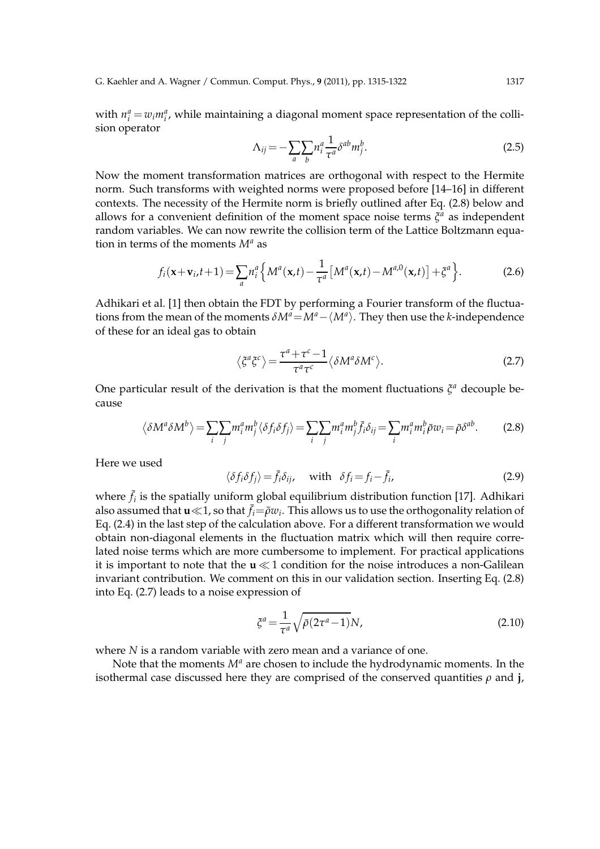G. Kaehler and A. Wagner / Commun. Comput. Phys., **9** (2011), pp. 1315-1322 1317

with  $n_i^a = w_i m_i^a$ , while maintaining a diagonal moment space representation of the collision operator

$$
\Lambda_{ij} = -\sum_{a} \sum_{b} n_i^a \frac{1}{\tau^a} \delta^{ab} m_j^b.
$$
\n(2.5)

Now the moment transformation matrices are orthogonal with respect to the Hermite norm. Such transforms with weighted norms were proposed before [14–16] in different contexts. The necessity of the Hermite norm is briefly outlined after Eq. (2.8) below and allows for a convenient definition of the moment space noise terms  $\zeta^a$  as independent random variables. We can now rewrite the collision term of the Lattice Boltzmann equation in terms of the moments *M<sup>a</sup>* as

$$
f_i(\mathbf{x} + \mathbf{v}_i, t + 1) = \sum_{a} n_i^a \left\{ M^a(\mathbf{x}, t) - \frac{1}{\tau^a} \left[ M^a(\mathbf{x}, t) - M^{a, 0}(\mathbf{x}, t) \right] + \xi^a \right\}.
$$
 (2.6)

Adhikari et al. [1] then obtain the FDT by performing a Fourier transform of the fluctuations from the mean of the moments  $\delta M^a = M^a - \langle M^a \rangle$ . They then use the *k*-independence of these for an ideal gas to obtain

$$
\langle \zeta^a \zeta^c \rangle = \frac{\tau^a + \tau^c - 1}{\tau^a \tau^c} \langle \delta M^a \delta M^c \rangle.
$$
 (2.7)

One particular result of the derivation is that the moment fluctuations  $\zeta^a$  decouple because

$$
\langle \delta M^a \delta M^b \rangle = \sum_i \sum_j m_i^a m_j^b \langle \delta f_i \delta f_j \rangle = \sum_i \sum_j m_i^a m_j^b \bar{f}_i \delta_{ij} = \sum_i m_i^a m_i^b \bar{\rho} w_i = \bar{\rho} \delta^{ab}.
$$
 (2.8)

Here we used

$$
\langle \delta f_i \delta f_j \rangle = \bar{f}_i \delta_{ij}, \quad \text{with} \quad \delta f_i = f_i - \bar{f}_i,
$$
\n(2.9)

where  $\bar{f}_i$  is the spatially uniform global equilibrium distribution function [17]. Adhikari also assumed that  $\mathbf{u} \ll 1$ , so that  $\bar{f}_i = \bar{\rho}w_i$ . This allows us to use the orthogonality relation of Eq. (2.4) in the last step of the calculation above. For a different transformation we would obtain non-diagonal elements in the fluctuation matrix which will then require correlated noise terms which are more cumbersome to implement. For practical applications it is important to note that the **u** ≪ 1 condition for the noise introduces a non-Galilean invariant contribution. We comment on this in our validation section. Inserting Eq. (2.8) into Eq. (2.7) leads to a noise expression of

$$
\xi^a = \frac{1}{\tau^a} \sqrt{\bar{\rho} (2\tau^a - 1)} N,\tag{2.10}
$$

where *N* is a random variable with zero mean and a variance of one.

Note that the moments *M<sup>a</sup>* are chosen to include the hydrodynamic moments. In the isothermal case discussed here they are comprised of the conserved quantities *ρ* and **j**,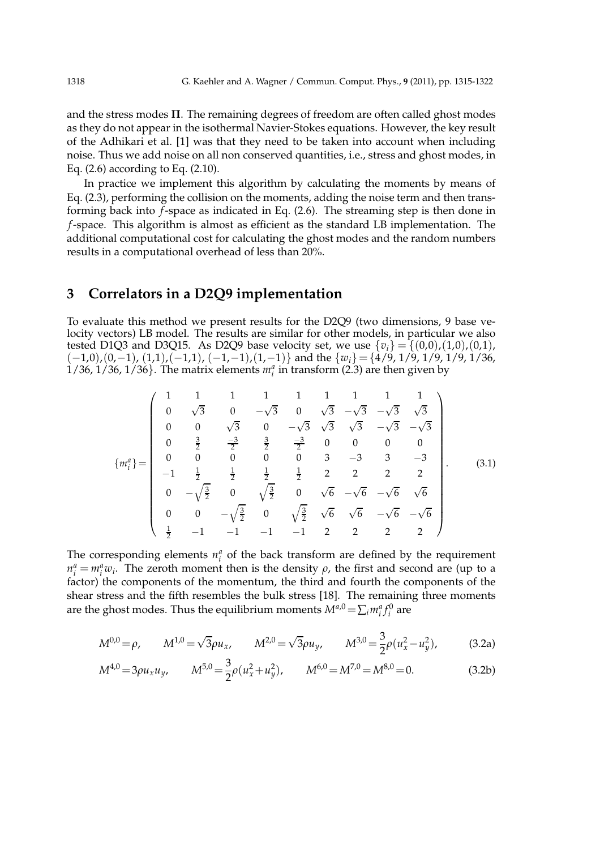and the stress modes **Π**. The remaining degrees of freedom are often called ghost modes as they do not appear in the isothermal Navier-Stokes equations. However, the key result of the Adhikari et al. [1] was that they need to be taken into account when including noise. Thus we add noise on all non conserved quantities, i.e., stress and ghost modes, in Eq. (2.6) according to Eq. (2.10).

In practice we implement this algorithm by calculating the moments by means of Eq. (2.3), performing the collision on the moments, adding the noise term and then transforming back into *f*-space as indicated in Eq. (2.6). The streaming step is then done in *f*-space. This algorithm is almost as efficient as the standard LB implementation. The additional computational cost for calculating the ghost modes and the random numbers results in a computational overhead of less than 20%.

## **3 Correlators in a D2Q9 implementation**

To evaluate this method we present results for the D2Q9 (two dimensions, 9 base velocity vectors) LB model. The results are similar for other models, in particular we also tested D1Q3 and D3Q15. As D2Q9 base velocity set, we use  $\{v_i\} = \{(0,0), (1,0), (0,1),\}$  $(-1,0)$ ,  $(0,-1)$ ,  $(1,1)$ ,  $(-1,1)$ ,  $(-1,-1)$ ,  $(1,-1)$ } and the  $\{w_i\} = \{\frac{\lambda}{2}/\frac{9}{9}, \frac{1}{9}, \frac{1}{9}, \frac{1}{9}, \frac{1}{36}, \frac{1}{36}$  $1/36$ ,  $1/36$ ,  $1/36$ }. The matrix elements  $m_i^a$  in transform (2.3) are then given by

$$
\{m_i^a\} = \begin{pmatrix} 1 & 1 & 1 & 1 & 1 & 1 & 1 & 1 & 1 \\ 0 & \sqrt{3} & 0 & -\sqrt{3} & 0 & \sqrt{3} & -\sqrt{3} & -\sqrt{3} & \sqrt{3} \\ 0 & 0 & \sqrt{3} & 0 & -\sqrt{3} & \sqrt{3} & \sqrt{3} & -\sqrt{3} & -\sqrt{3} \\ 0 & \frac{3}{2} & \frac{-3}{2} & \frac{3}{2} & \frac{-3}{2} & 0 & 0 & 0 & 0 \\ 0 & 0 & 0 & 0 & 0 & 3 & -3 & 3 & -3 \\ -1 & \frac{1}{2} & \frac{1}{2} & \frac{1}{2} & \frac{1}{2} & 2 & 2 & 2 & 2 \\ 0 & -\sqrt{\frac{3}{2}} & 0 & \sqrt{\frac{3}{2}} & 0 & \sqrt{6} & -\sqrt{6} & -\sqrt{6} & \sqrt{6} \\ 0 & 0 & -\sqrt{\frac{3}{2}} & 0 & \sqrt{\frac{3}{2}} & \sqrt{6} & \sqrt{6} & -\sqrt{6} & -\sqrt{6} & \sqrt{6} \\ \frac{1}{2} & -1 & -1 & -1 & -1 & 2 & 2 & 2 & 2 \end{pmatrix}.
$$
 (3.1)

The corresponding elements  $n_i^a$  of the back transform are defined by the requirement  $m_i^a = m_i^a w_i$ . The zeroth moment then is the density *ρ*, the first and second are (up to a factor) the components of the momentum, the third and fourth the components of the shear stress and the fifth resembles the bulk stress [18]. The remaining three moments are the ghost modes. Thus the equilibrium moments  $M^{a,0} = \sum_i m_i^a f_i^0$  are

$$
M^{0,0} = \rho, \qquad M^{1,0} = \sqrt{3}\rho u_x, \qquad M^{2,0} = \sqrt{3}\rho u_y, \qquad M^{3,0} = \frac{3}{2}\rho (u_x^2 - u_y^2), \tag{3.2a}
$$

$$
M^{4,0} = 3\rho u_x u_y, \qquad M^{5,0} = \frac{3}{2}\rho (u_x^2 + u_y^2), \qquad M^{6,0} = M^{7,0} = M^{8,0} = 0.
$$
 (3.2b)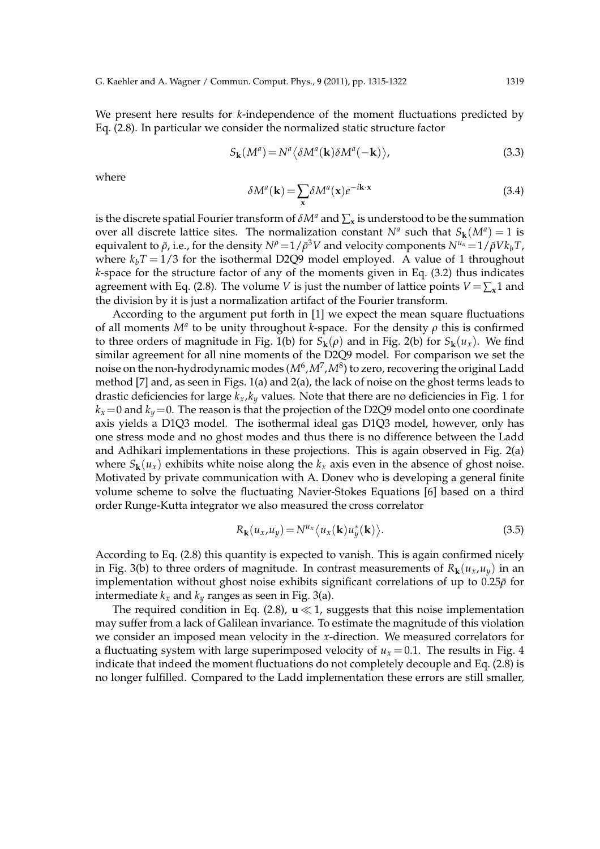We present here results for *k*-independence of the moment fluctuations predicted by Eq. (2.8). In particular we consider the normalized static structure factor

$$
S_{\mathbf{k}}(M^{a}) = N^{a} \langle \delta M^{a}(\mathbf{k}) \delta M^{a}(-\mathbf{k}) \rangle, \tag{3.3}
$$

where

$$
\delta M^{a}(\mathbf{k}) = \sum_{\mathbf{x}} \delta M^{a}(\mathbf{x}) e^{-i\mathbf{k}\cdot\mathbf{x}}
$$
 (3.4)

is the discrete spatial Fourier transform of  $\delta M^a$  and  $\sum_{\mathbf{x}}$  is understood to be the summation over all discrete lattice sites. The normalization constant  $N^a$  such that  $S_k(M^a) = 1$  is  $P^{\rho}=1/\bar{\rho}^{3}V$  and velocity components  $N^{\mu_{\alpha}}\!=\!1/\bar{\rho}Vk_{b}T$  ,  $N^{\mu_{\alpha}}\!=\!1/\bar{\rho}Vk_{b}T$  , where  $k_bT = 1/3$  for the isothermal D2Q9 model employed. A value of 1 throughout *k*-space for the structure factor of any of the moments given in Eq. (3.2) thus indicates agreement with Eq. (2.8). The volume *V* is just the number of lattice points  $V = \sum_{x} 1$  and the division by it is just a normalization artifact of the Fourier transform.

According to the argument put forth in [1] we expect the mean square fluctuations of all moments  $M^a$  to be unity throughout *k*-space. For the density  $\rho$  this is confirmed to three orders of magnitude in Fig. 1(b) for  $S_k(\rho)$  and in Fig. 2(b) for  $S_k(u_x)$ . We find similar agreement for all nine moments of the D2Q9 model. For comparison we set the noise on the non-hydrodynamic modes (*M<sup>6</sup>,M<sup>7</sup>,M*<sup>8</sup>) to zero, recovering the original Ladd method [7] and, as seen in Figs. 1(a) and 2(a), the lack of noise on the ghost terms leads to drastic deficiencies for large *kx*,*k<sup>y</sup>* values. Note that there are no deficiencies in Fig. 1 for  $k_x$  =0 and  $k_y$  =0. The reason is that the projection of the D2Q9 model onto one coordinate axis yields a D1Q3 model. The isothermal ideal gas D1Q3 model, however, only has one stress mode and no ghost modes and thus there is no difference between the Ladd and Adhikari implementations in these projections. This is again observed in Fig. 2(a) where  $S_k(u_x)$  exhibits white noise along the  $k_x$  axis even in the absence of ghost noise. Motivated by private communication with A. Donev who is developing a general finite volume scheme to solve the fluctuating Navier-Stokes Equations [6] based on a third order Runge-Kutta integrator we also measured the cross correlator

$$
R_{\mathbf{k}}(u_x, u_y) = N^{u_x} \langle u_x(\mathbf{k}) u_y^*(\mathbf{k}) \rangle.
$$
 (3.5)

According to Eq. (2.8) this quantity is expected to vanish. This is again confirmed nicely in Fig. 3(b) to three orders of magnitude. In contrast measurements of  $R_k(u_x, u_y)$  in an implementation without ghost noise exhibits significant correlations of up to 0.25*ρ*¯ for intermediate  $k_x$  and  $k_y$  ranges as seen in Fig. 3(a).

The required condition in Eq. (2.8),  $\mathbf{u} \ll 1$ , suggests that this noise implementation may suffer from a lack of Galilean invariance. To estimate the magnitude of this violation we consider an imposed mean velocity in the *x*-direction. We measured correlators for a fluctuating system with large superimposed velocity of  $u_x = 0.1$ . The results in Fig. 4 indicate that indeed the moment fluctuations do not completely decouple and Eq. (2.8) is no longer fulfilled. Compared to the Ladd implementation these errors are still smaller,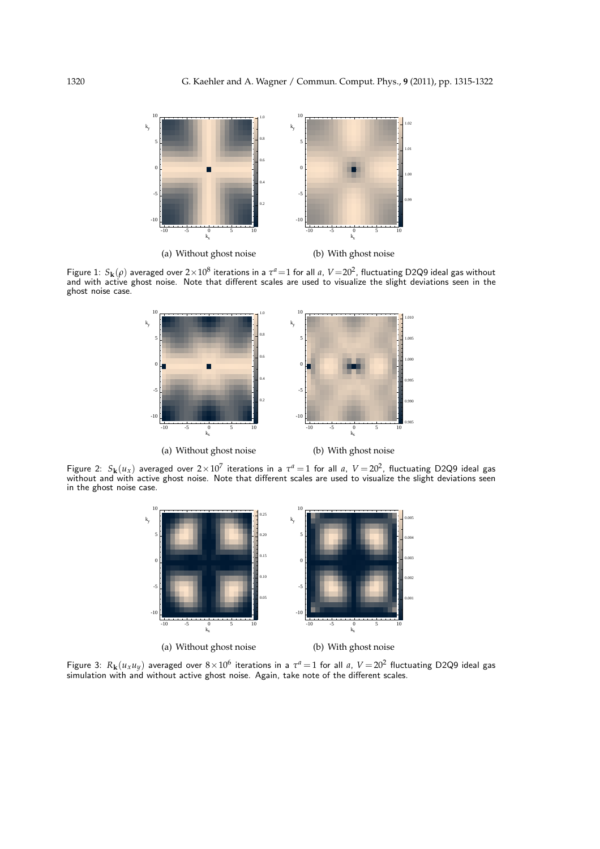

Figure 1:  $S_k(\rho)$  averaged over  $2\times10^8$  iterations in a  $\tau^a=1$  for all *a*,  $V=20^2$ , fluctuating D2Q9 ideal gas without and with active ghost noise. Note that different scales are used to visualize the slight deviations seen in the ghost noise case.



Figure 2:  $S_k(u_x)$  averaged over  $2 \times 10^7$  iterations in a  $\tau^a = 1$  for all *a*,  $V = 20^2$ , fluctuating D2Q9 ideal gas without and with active ghost noise. Note that different scales are used to visualize the slight deviations seen in the ghost noise case.



Figure 3:  $R_k(u_xu_y)$  averaged over  $8\times10^6$  iterations in a  $\tau^a=1$  for all *a*,  $V=20^2$  fluctuating D2Q9 ideal gas simulation with and without active ghost noise. Again, take note of the different scales.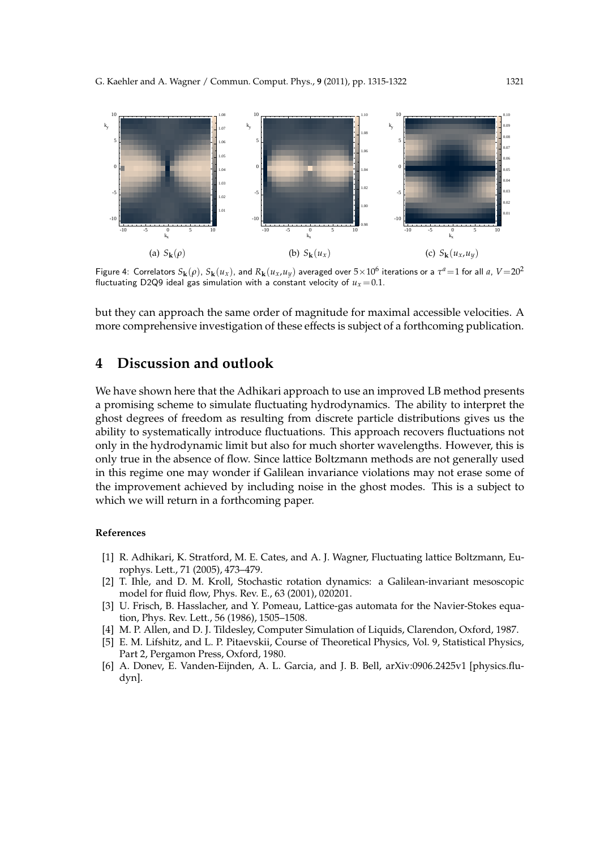

Figure 4: Correlators  $S_k(\rho)$ ,  $S_k(u_x)$ , and  $R_k(u_x, u_y)$  averaged over  $5 \times 10^6$  iterations or a  $\tau^a = 1$  for all a,  $V = 20^2$ fluctuating D2Q9 ideal gas simulation with a constant velocity of  $u<sub>x</sub> = 0.1$ .

but they can approach the same order of magnitude for maximal accessible velocities. A more comprehensive investigation of these effects is subject of a forthcoming publication.

## **4 Discussion and outlook**

We have shown here that the Adhikari approach to use an improved LB method presents a promising scheme to simulate fluctuating hydrodynamics. The ability to interpret the ghost degrees of freedom as resulting from discrete particle distributions gives us the ability to systematically introduce fluctuations. This approach recovers fluctuations not only in the hydrodynamic limit but also for much shorter wavelengths. However, this is only true in the absence of flow. Since lattice Boltzmann methods are not generally used in this regime one may wonder if Galilean invariance violations may not erase some of the improvement achieved by including noise in the ghost modes. This is a subject to which we will return in a forthcoming paper.

#### **References**

- [1] R. Adhikari, K. Stratford, M. E. Cates, and A. J. Wagner, Fluctuating lattice Boltzmann, Europhys. Lett., 71 (2005), 473–479.
- [2] T. Ihle, and D. M. Kroll, Stochastic rotation dynamics: a Galilean-invariant mesoscopic model for fluid flow, Phys. Rev. E., 63 (2001), 020201.
- [3] U. Frisch, B. Hasslacher, and Y. Pomeau, Lattice-gas automata for the Navier-Stokes equation, Phys. Rev. Lett., 56 (1986), 1505–1508.
- [4] M. P. Allen, and D. J. Tildesley, Computer Simulation of Liquids, Clarendon, Oxford, 1987.
- [5] E. M. Lifshitz, and L. P. Pitaevskii, Course of Theoretical Physics, Vol. 9, Statistical Physics, Part 2, Pergamon Press, Oxford, 1980.
- [6] A. Donev, E. Vanden-Eijnden, A. L. Garcia, and J. B. Bell, arXiv:0906.2425v1 [physics.fludyn].